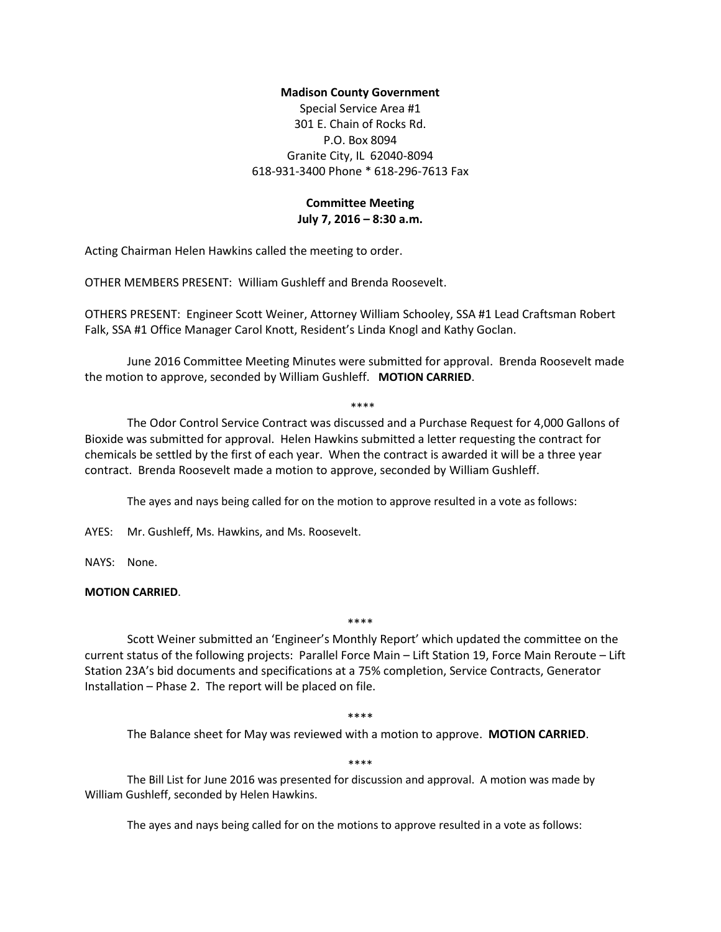## **Madison County Government**

Special Service Area #1 301 E. Chain of Rocks Rd. P.O. Box 8094 Granite City, IL 62040-8094 618-931-3400 Phone \* 618-296-7613 Fax

# **Committee Meeting July 7, 2016 – 8:30 a.m.**

Acting Chairman Helen Hawkins called the meeting to order.

OTHER MEMBERS PRESENT: William Gushleff and Brenda Roosevelt.

OTHERS PRESENT: Engineer Scott Weiner, Attorney William Schooley, SSA #1 Lead Craftsman Robert Falk, SSA #1 Office Manager Carol Knott, Resident's Linda Knogl and Kathy Goclan.

June 2016 Committee Meeting Minutes were submitted for approval. Brenda Roosevelt made the motion to approve, seconded by William Gushleff. **MOTION CARRIED**.

#### \*\*\*\*

The Odor Control Service Contract was discussed and a Purchase Request for 4,000 Gallons of Bioxide was submitted for approval. Helen Hawkins submitted a letter requesting the contract for chemicals be settled by the first of each year. When the contract is awarded it will be a three year contract. Brenda Roosevelt made a motion to approve, seconded by William Gushleff.

The ayes and nays being called for on the motion to approve resulted in a vote as follows:

AYES: Mr. Gushleff, Ms. Hawkins, and Ms. Roosevelt.

NAYS: None.

## **MOTION CARRIED**.

\*\*\*\*

Scott Weiner submitted an 'Engineer's Monthly Report' which updated the committee on the current status of the following projects: Parallel Force Main – Lift Station 19, Force Main Reroute – Lift Station 23A's bid documents and specifications at a 75% completion, Service Contracts, Generator Installation – Phase 2. The report will be placed on file.

#### \*\*\*\*

The Balance sheet for May was reviewed with a motion to approve. **MOTION CARRIED**.

# \*\*\*\*

The Bill List for June 2016 was presented for discussion and approval. A motion was made by William Gushleff, seconded by Helen Hawkins.

The ayes and nays being called for on the motions to approve resulted in a vote as follows: